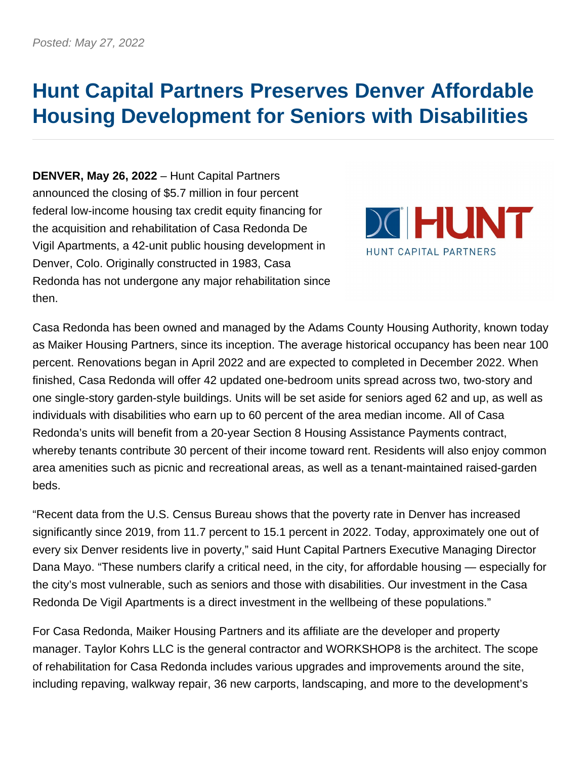## **Hunt Capital Partners Preserves Denver Affordable Housing Development for Seniors with Disabilities**

**DENVER, May 26, 2022** – Hunt Capital Partners announced the closing of \$5.7 million in four percent federal low-income housing tax credit equity financing for the acquisition and rehabilitation of Casa Redonda De Vigil Apartments, a 42-unit public housing development in Denver, Colo. Originally constructed in 1983, Casa Redonda has not undergone any major rehabilitation since then.



Casa Redonda has been owned and managed by the Adams County Housing Authority, known today as Maiker Housing Partners, since its inception. The average historical occupancy has been near 100 percent. Renovations began in April 2022 and are expected to completed in December 2022. When finished, Casa Redonda will offer 42 updated one-bedroom units spread across two, two-story and one single-story garden-style buildings. Units will be set aside for seniors aged 62 and up, as well as individuals with disabilities who earn up to 60 percent of the area median income. All of Casa Redonda's units will benefit from a 20-year Section 8 Housing Assistance Payments contract, whereby tenants contribute 30 percent of their income toward rent. Residents will also enjoy common area amenities such as picnic and recreational areas, as well as a tenant-maintained raised-garden beds.

"Recent data from the U.S. Census Bureau shows that the poverty rate in Denver has increased significantly since 2019, from 11.7 percent to 15.1 percent in 2022. Today, approximately one out of every six Denver residents live in poverty," said Hunt Capital Partners Executive Managing Director Dana Mayo. "These numbers clarify a critical need, in the city, for affordable housing — especially for the city's most vulnerable, such as seniors and those with disabilities. Our investment in the Casa Redonda De Vigil Apartments is a direct investment in the wellbeing of these populations."

For Casa Redonda, Maiker Housing Partners and its affiliate are the developer and property manager. Taylor Kohrs LLC is the general contractor and WORKSHOP8 is the architect. The scope of rehabilitation for Casa Redonda includes various upgrades and improvements around the site, including repaving, walkway repair, 36 new carports, landscaping, and more to the development's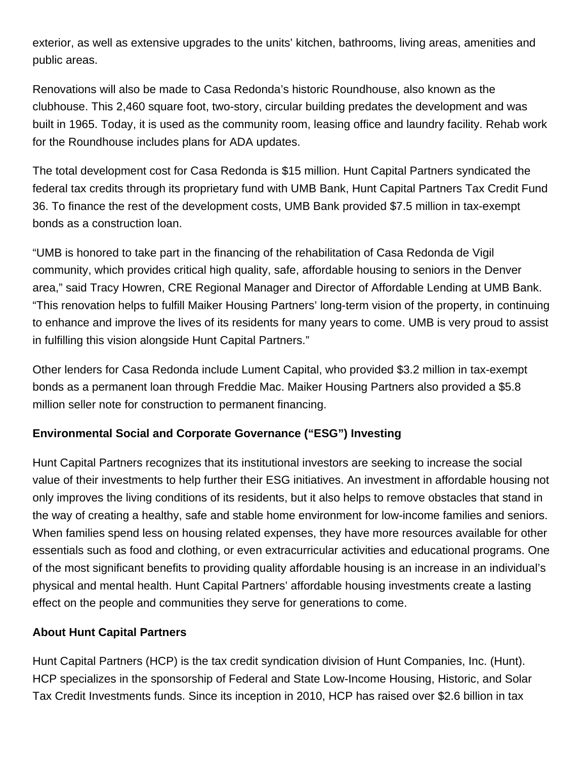exterior, as well as extensive upgrades to the units' kitchen, bathrooms, living areas, amenities and public areas.

Renovations will also be made to Casa Redonda's historic Roundhouse, also known as the clubhouse. This 2,460 square foot, two-story, circular building predates the development and was built in 1965. Today, it is used as the community room, leasing office and laundry facility. Rehab work for the Roundhouse includes plans for ADA updates.

The total development cost for Casa Redonda is \$15 million. Hunt Capital Partners syndicated the federal tax credits through its proprietary fund with UMB Bank, Hunt Capital Partners Tax Credit Fund 36. To finance the rest of the development costs, UMB Bank provided \$7.5 million in tax-exempt bonds as a construction loan.

"UMB is honored to take part in the financing of the rehabilitation of Casa Redonda de Vigil community, which provides critical high quality, safe, affordable housing to seniors in the Denver area," said Tracy Howren, CRE Regional Manager and Director of Affordable Lending at UMB Bank. "This renovation helps to fulfill Maiker Housing Partners' long-term vision of the property, in continuing to enhance and improve the lives of its residents for many years to come. UMB is very proud to assist in fulfilling this vision alongside Hunt Capital Partners."

Other lenders for Casa Redonda include Lument Capital, who provided \$3.2 million in tax-exempt bonds as a permanent loan through Freddie Mac. Maiker Housing Partners also provided a \$5.8 million seller note for construction to permanent financing.

## **Environmental Social and Corporate Governance ("ESG") Investing**

Hunt Capital Partners recognizes that its institutional investors are seeking to increase the social value of their investments to help further their ESG initiatives. An investment in affordable housing not only improves the living conditions of its residents, but it also helps to remove obstacles that stand in the way of creating a healthy, safe and stable home environment for low-income families and seniors. When families spend less on housing related expenses, they have more resources available for other essentials such as food and clothing, or even extracurricular activities and educational programs. One of the most significant benefits to providing quality affordable housing is an increase in an individual's physical and mental health. Hunt Capital Partners' affordable housing investments create a lasting effect on the people and communities they serve for generations to come.

## **About Hunt Capital Partners**

Hunt Capital Partners (HCP) is the tax credit syndication division of Hunt Companies, Inc. (Hunt). HCP specializes in the sponsorship of Federal and State Low-Income Housing, Historic, and Solar Tax Credit Investments funds. Since its inception in 2010, HCP has raised over \$2.6 billion in tax